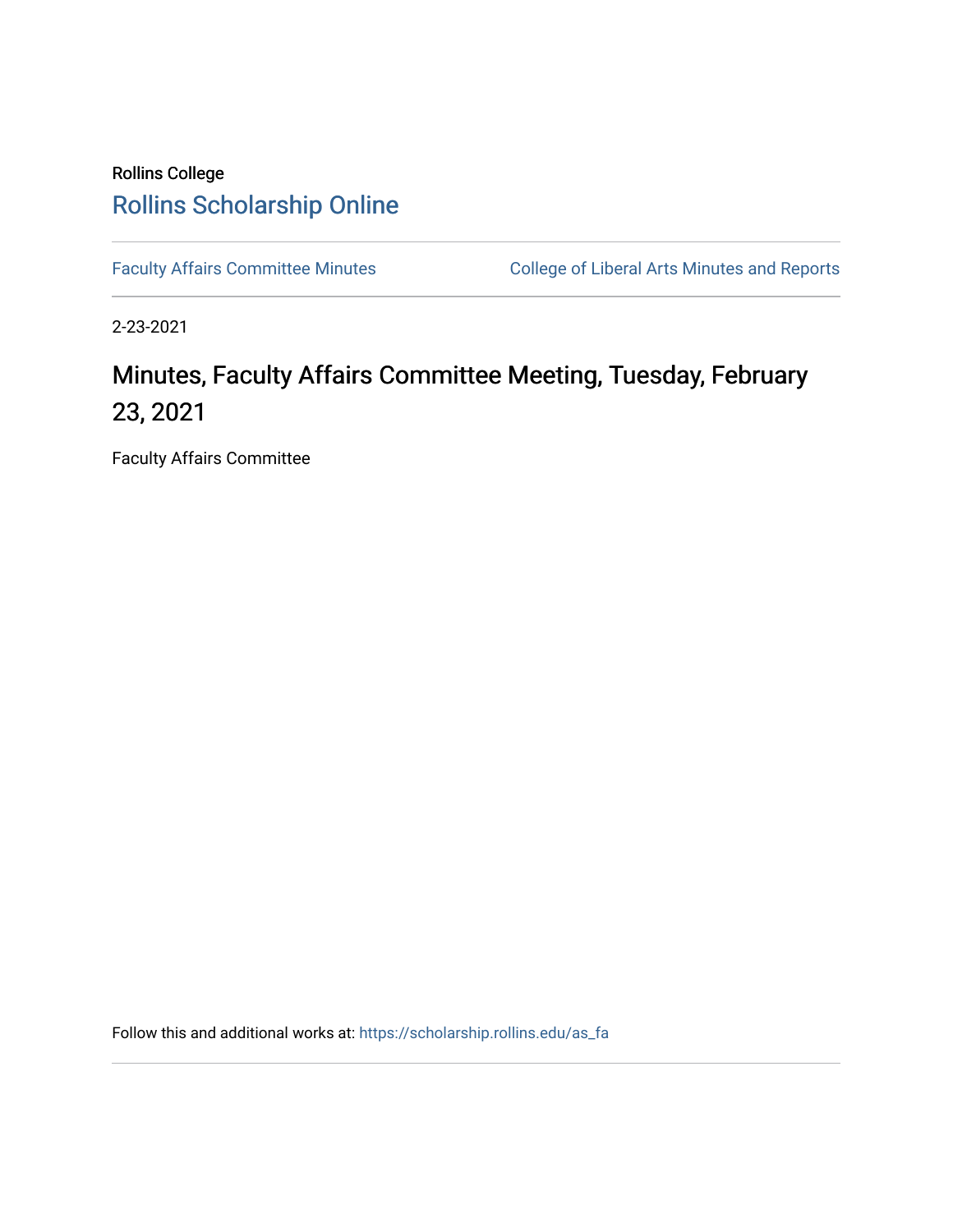# Rollins College [Rollins Scholarship Online](https://scholarship.rollins.edu/)

[Faculty Affairs Committee Minutes](https://scholarship.rollins.edu/as_fa) College of Liberal Arts Minutes and Reports

2-23-2021

# Minutes, Faculty Affairs Committee Meeting, Tuesday, February 23, 2021

Faculty Affairs Committee

Follow this and additional works at: [https://scholarship.rollins.edu/as\\_fa](https://scholarship.rollins.edu/as_fa?utm_source=scholarship.rollins.edu%2Fas_fa%2F71&utm_medium=PDF&utm_campaign=PDFCoverPages)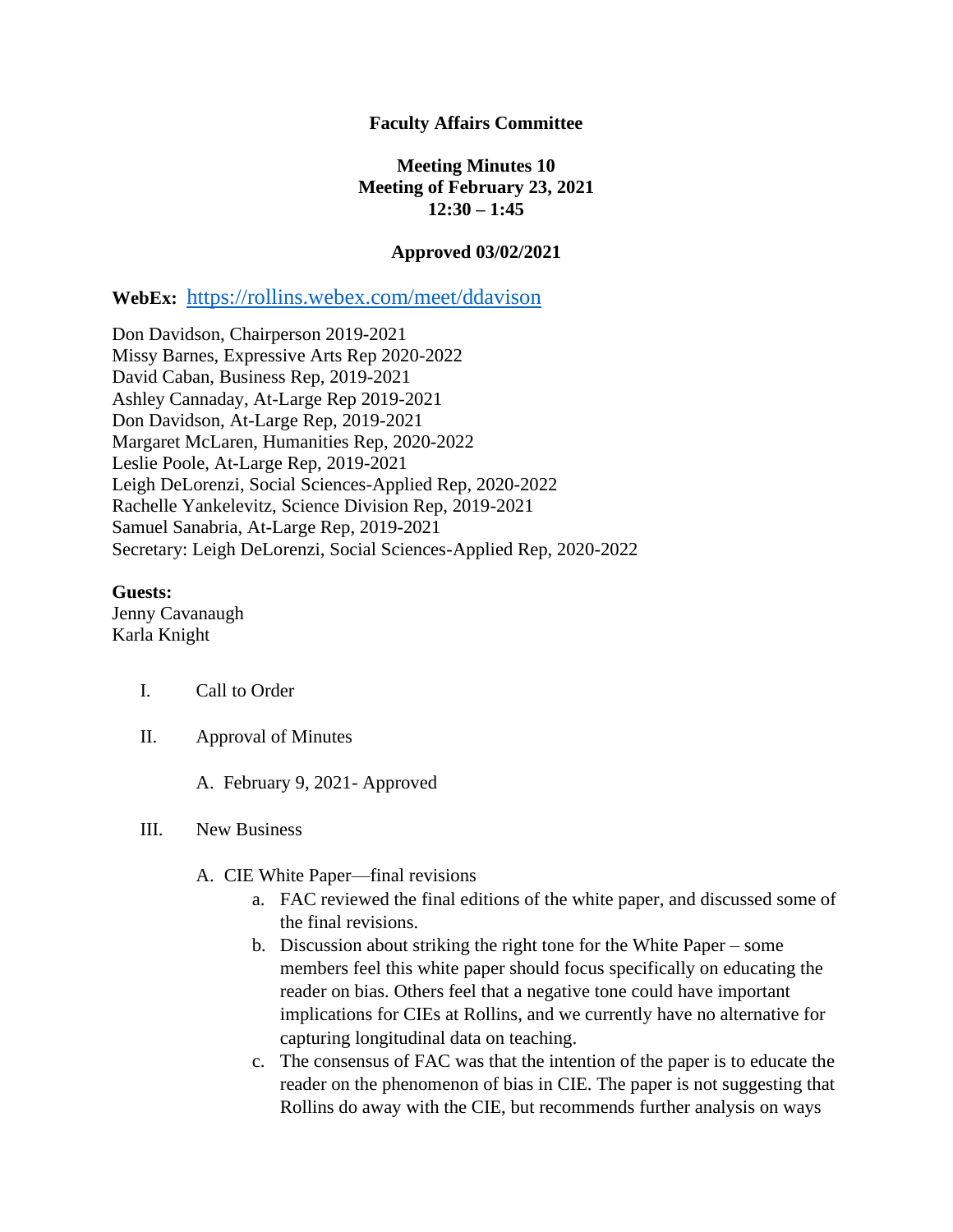# **Faculty Affairs Committee**

# **Meeting Minutes 10 Meeting of February 23, 2021 12:30 – 1:45**

#### **Approved 03/02/2021**

# **WebEx:** <https://rollins.webex.com/meet/ddavison>

Don Davidson, Chairperson 2019-2021 Missy Barnes, Expressive Arts Rep 2020-2022 David Caban, Business Rep, 2019-2021 Ashley Cannaday, At-Large Rep 2019-2021 Don Davidson, At-Large Rep, 2019-2021 Margaret McLaren, Humanities Rep, 2020-2022 Leslie Poole, At-Large Rep, 2019-2021 Leigh DeLorenzi, Social Sciences-Applied Rep, 2020-2022 Rachelle Yankelevitz, Science Division Rep, 2019-2021 Samuel Sanabria, At-Large Rep, 2019-2021 Secretary: Leigh DeLorenzi, Social Sciences-Applied Rep, 2020-2022

#### **Guests:**

Jenny Cavanaugh Karla Knight

#### I. Call to Order

II. Approval of Minutes

A. February 9, 2021- Approved

#### III. New Business

- A. CIE White Paper—final revisions
	- a. FAC reviewed the final editions of the white paper, and discussed some of the final revisions.
	- b. Discussion about striking the right tone for the White Paper some members feel this white paper should focus specifically on educating the reader on bias. Others feel that a negative tone could have important implications for CIEs at Rollins, and we currently have no alternative for capturing longitudinal data on teaching.
	- c. The consensus of FAC was that the intention of the paper is to educate the reader on the phenomenon of bias in CIE. The paper is not suggesting that Rollins do away with the CIE, but recommends further analysis on ways